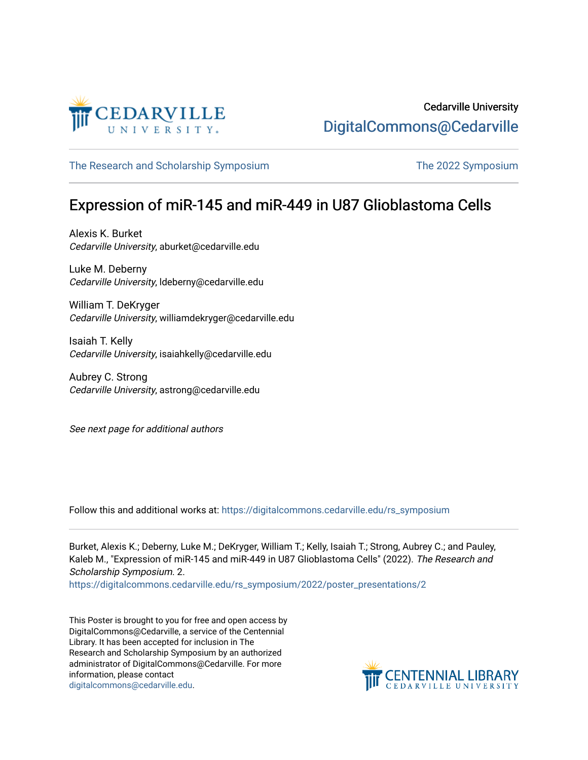

[The Research and Scholarship Symposium](https://digitalcommons.cedarville.edu/rs_symposium) The 2022 Symposium

## Expression of miR-145 and miR-449 in U87 Glioblastoma Cells

Alexis K. Burket Cedarville University, aburket@cedarville.edu

Luke M. Deberny Cedarville University, ldeberny@cedarville.edu

William T. DeKryger Cedarville University, williamdekryger@cedarville.edu

Isaiah T. Kelly Cedarville University, isaiahkelly@cedarville.edu

Aubrey C. Strong Cedarville University, astrong@cedarville.edu

See next page for additional authors

Follow this and additional works at: [https://digitalcommons.cedarville.edu/rs\\_symposium](https://digitalcommons.cedarville.edu/rs_symposium?utm_source=digitalcommons.cedarville.edu%2Frs_symposium%2F2022%2Fposter_presentations%2F2&utm_medium=PDF&utm_campaign=PDFCoverPages) 

Burket, Alexis K.; Deberny, Luke M.; DeKryger, William T.; Kelly, Isaiah T.; Strong, Aubrey C.; and Pauley, Kaleb M., "Expression of miR-145 and miR-449 in U87 Glioblastoma Cells" (2022). The Research and Scholarship Symposium. 2.

[https://digitalcommons.cedarville.edu/rs\\_symposium/2022/poster\\_presentations/2](https://digitalcommons.cedarville.edu/rs_symposium/2022/poster_presentations/2?utm_source=digitalcommons.cedarville.edu%2Frs_symposium%2F2022%2Fposter_presentations%2F2&utm_medium=PDF&utm_campaign=PDFCoverPages) 

This Poster is brought to you for free and open access by DigitalCommons@Cedarville, a service of the Centennial Library. It has been accepted for inclusion in The Research and Scholarship Symposium by an authorized administrator of DigitalCommons@Cedarville. For more information, please contact [digitalcommons@cedarville.edu](mailto:digitalcommons@cedarville.edu).

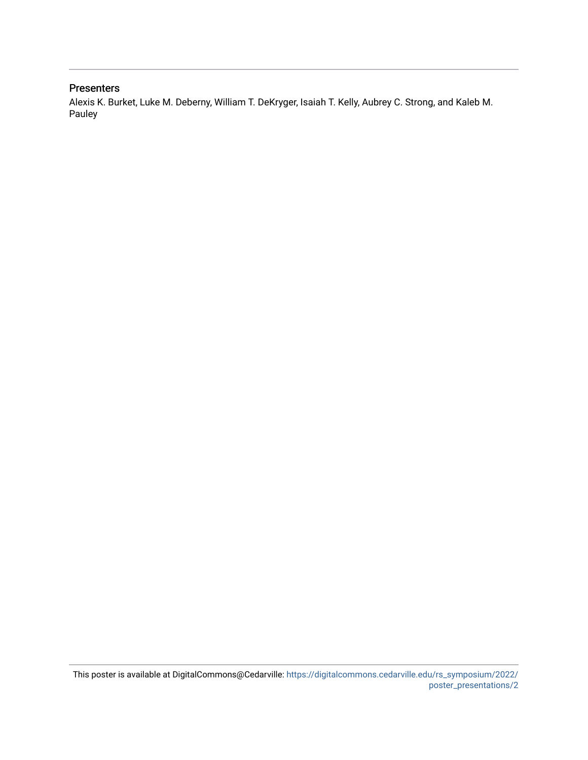## **Presenters**

Alexis K. Burket, Luke M. Deberny, William T. DeKryger, Isaiah T. Kelly, Aubrey C. Strong, and Kaleb M. Pauley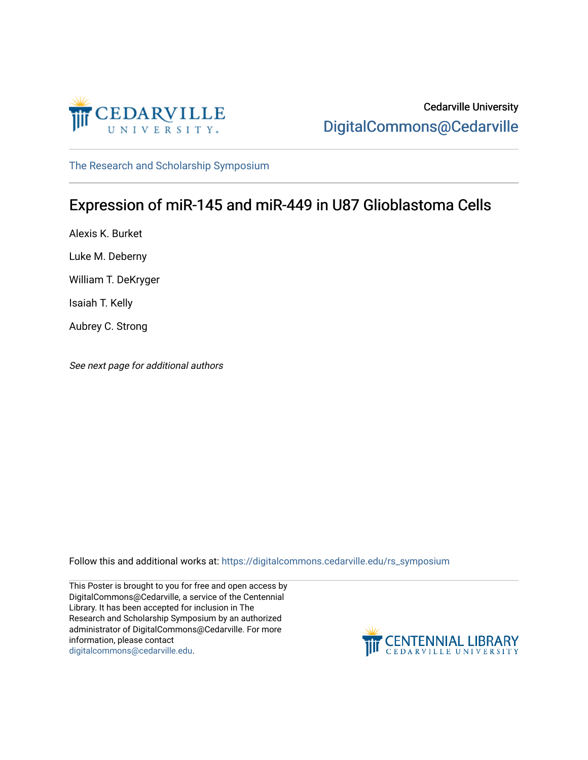

[The Research and Scholarship Symposium](https://digitalcommons.cedarville.edu/rs_symposium) 

## Expression of miR-145 and miR-449 in U87 Glioblastoma Cells

Alexis K. Burket Luke M. Deberny William T. DeKryger Isaiah T. Kelly Aubrey C. Strong

See next page for additional authors

Follow this and additional works at: [https://digitalcommons.cedarville.edu/rs\\_symposium](https://digitalcommons.cedarville.edu/rs_symposium?utm_source=digitalcommons.cedarville.edu%2Frs_symposium%2F2019%2Fpodium_presentations%2F1&utm_medium=PDF&utm_campaign=PDFCoverPages) 

This Poster is brought to you for free and open access by DigitalCommons@Cedarville, a service of the Centennial Library. It has been accepted for inclusion in The Research and Scholarship Symposium by an authorized administrator of DigitalCommons@Cedarville. For more information, please contact [digitalcommons@cedarville.edu](mailto:digitalcommons@cedarville.edu).

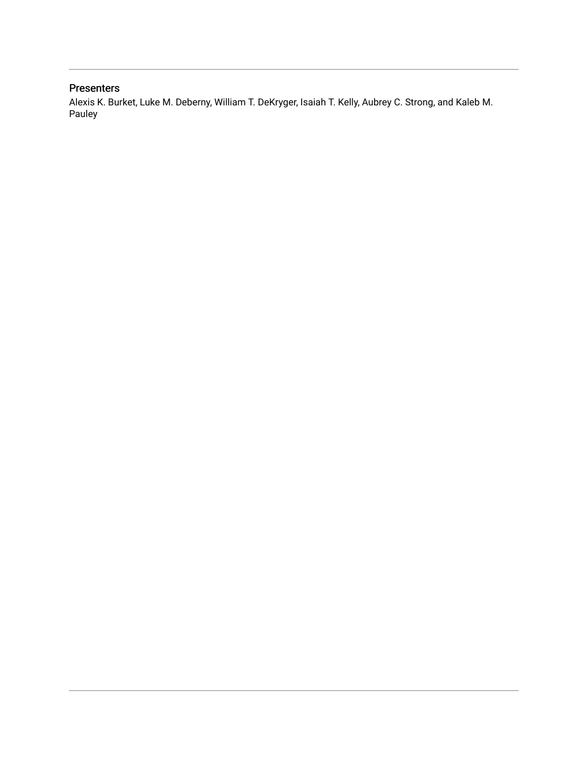## Presenters

Alexis K. Burket, Luke M. Deberny, William T. DeKryger, Isaiah T. Kelly, Aubrey C. Strong, and Kaleb M. Pauley